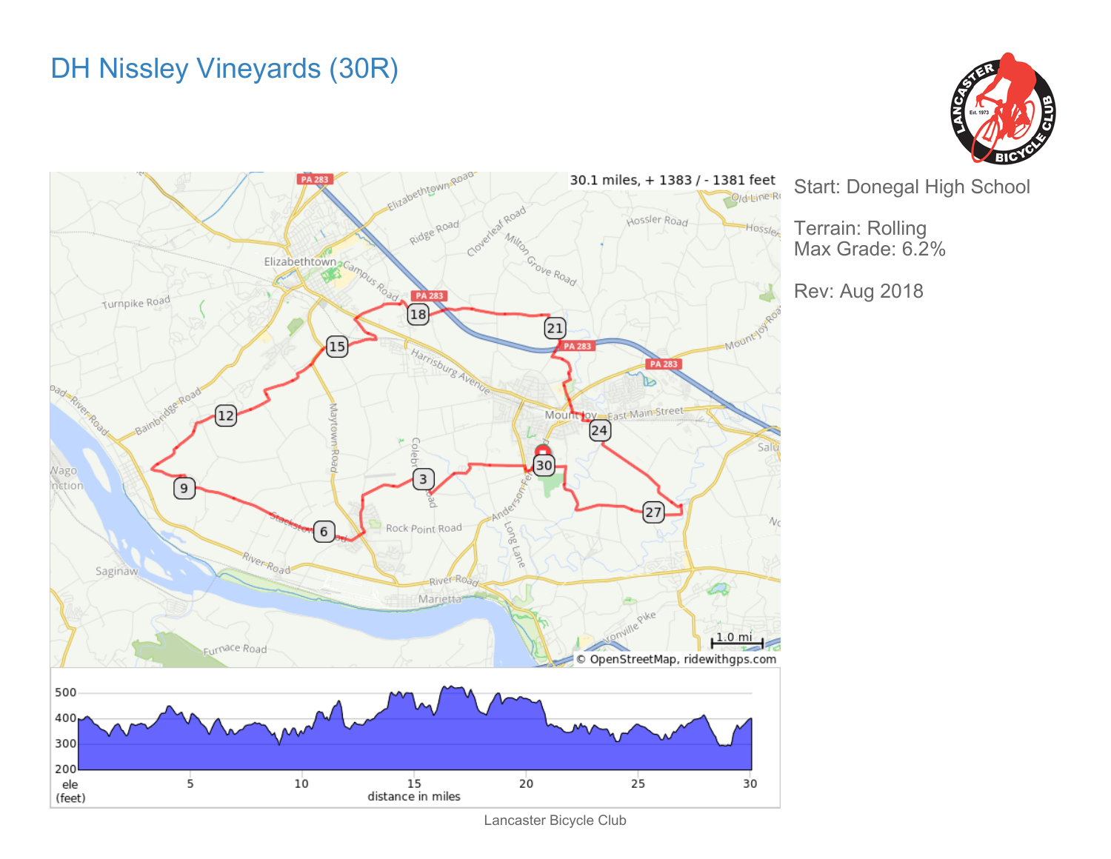## DH Nissley Vineyards (30R)